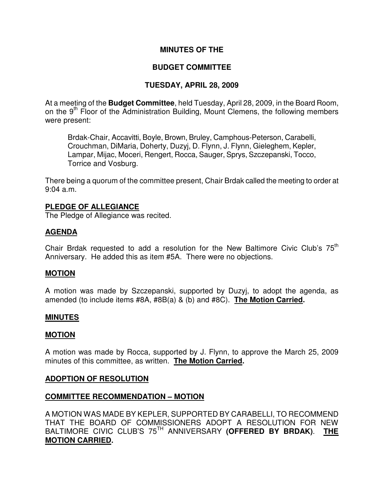## **MINUTES OF THE**

## **BUDGET COMMITTEE**

## **TUESDAY, APRIL 28, 2009**

At a meeting of the **Budget Committee**, held Tuesday, April 28, 2009, in the Board Room, on the  $9<sup>th</sup>$  Floor of the Administration Building, Mount Clemens, the following members were present:

Brdak-Chair, Accavitti, Boyle, Brown, Bruley, Camphous-Peterson, Carabelli, Crouchman, DiMaria, Doherty, Duzyj, D. Flynn, J. Flynn, Gieleghem, Kepler, Lampar, Mijac, Moceri, Rengert, Rocca, Sauger, Sprys, Szczepanski, Tocco, Torrice and Vosburg.

There being a quorum of the committee present, Chair Brdak called the meeting to order at 9:04 a.m.

#### **PLEDGE OF ALLEGIANCE**

The Pledge of Allegiance was recited.

## **AGENDA**

Chair Brdak requested to add a resolution for the New Baltimore Civic Club's  $75<sup>th</sup>$ Anniversary. He added this as item #5A. There were no objections.

## **MOTION**

A motion was made by Szczepanski, supported by Duzyj, to adopt the agenda, as amended (to include items #8A, #8B(a) & (b) and #8C). **The Motion Carried.** 

#### **MINUTES**

#### **MOTION**

A motion was made by Rocca, supported by J. Flynn, to approve the March 25, 2009 minutes of this committee, as written. **The Motion Carried.** 

#### **ADOPTION OF RESOLUTION**

#### **COMMITTEE RECOMMENDATION – MOTION**

A MOTION WAS MADE BY KEPLER, SUPPORTED BY CARABELLI, TO RECOMMEND THAT THE BOARD OF COMMISSIONERS ADOPT A RESOLUTION FOR NEW BALTIMORE CIVIC CLUB'S 75TH ANNIVERSARY **(OFFERED BY BRDAK)**. **THE MOTION CARRIED.**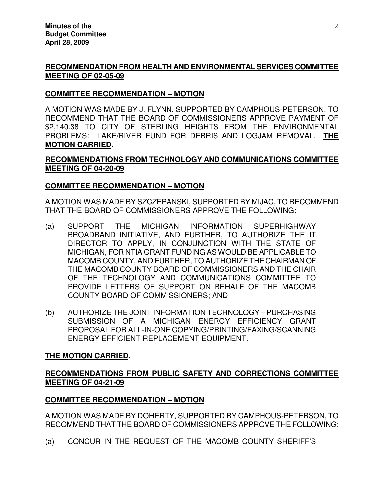# **RECOMMENDATION FROM HEALTH AND ENVIRONMENTAL SERVICES COMMITTEE MEETING OF 02-05-09**

## **COMMITTEE RECOMMENDATION – MOTION**

A MOTION WAS MADE BY J. FLYNN, SUPPORTED BY CAMPHOUS-PETERSON, TO RECOMMEND THAT THE BOARD OF COMMISSIONERS APPROVE PAYMENT OF \$2,140.38 TO CITY OF STERLING HEIGHTS FROM THE ENVIRONMENTAL PROBLEMS: LAKE/RIVER FUND FOR DEBRIS AND LOGJAM REMOVAL. **THE MOTION CARRIED.** 

# **RECOMMENDATIONS FROM TECHNOLOGY AND COMMUNICATIONS COMMITTEE MEETING OF 04-20-09**

## **COMMITTEE RECOMMENDATION – MOTION**

A MOTION WAS MADE BY SZCZEPANSKI, SUPPORTED BY MIJAC, TO RECOMMEND THAT THE BOARD OF COMMISSIONERS APPROVE THE FOLLOWING:

- (a) SUPPORT THE MICHIGAN INFORMATION SUPERHIGHWAY BROADBAND INITIATIVE, AND FURTHER, TO AUTHORIZE THE IT DIRECTOR TO APPLY, IN CONJUNCTION WITH THE STATE OF MICHIGAN, FOR NTIA GRANT FUNDING AS WOULD BE APPLICABLE TO MACOMB COUNTY, AND FURTHER, TO AUTHORIZE THE CHAIRMAN OF THE MACOMB COUNTY BOARD OF COMMISSIONERS AND THE CHAIR OF THE TECHNOLOGY AND COMMUNICATIONS COMMITTEE TO PROVIDE LETTERS OF SUPPORT ON BEHALF OF THE MACOMB COUNTY BOARD OF COMMISSIONERS; AND
- (b) AUTHORIZE THE JOINT INFORMATION TECHNOLOGY PURCHASING SUBMISSION OF A MICHIGAN ENERGY EFFICIENCY GRANT PROPOSAL FOR ALL-IN-ONE COPYING/PRINTING/FAXING/SCANNING ENERGY EFFICIENT REPLACEMENT EQUIPMENT.

# **THE MOTION CARRIED.**

## **RECOMMENDATIONS FROM PUBLIC SAFETY AND CORRECTIONS COMMITTEE MEETING OF 04-21-09**

## **COMMITTEE RECOMMENDATION – MOTION**

A MOTION WAS MADE BY DOHERTY, SUPPORTED BY CAMPHOUS-PETERSON, TO RECOMMEND THAT THE BOARD OF COMMISSIONERS APPROVE THE FOLLOWING:

(a) CONCUR IN THE REQUEST OF THE MACOMB COUNTY SHERIFF'S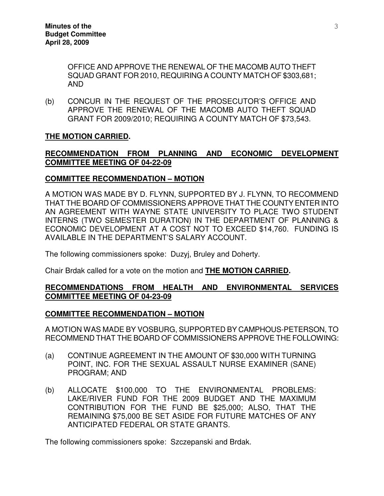OFFICE AND APPROVE THE RENEWAL OF THE MACOMB AUTO THEFT SQUAD GRANT FOR 2010, REQUIRING A COUNTY MATCH OF \$303,681; AND

(b) CONCUR IN THE REQUEST OF THE PROSECUTOR'S OFFICE AND APPROVE THE RENEWAL OF THE MACOMB AUTO THEFT SQUAD GRANT FOR 2009/2010; REQUIRING A COUNTY MATCH OF \$73,543.

## **THE MOTION CARRIED.**

## **RECOMMENDATION FROM PLANNING AND ECONOMIC DEVELOPMENT COMMITTEE MEETING OF 04-22-09**

## **COMMITTEE RECOMMENDATION – MOTION**

A MOTION WAS MADE BY D. FLYNN, SUPPORTED BY J. FLYNN, TO RECOMMEND THAT THE BOARD OF COMMISSIONERS APPROVE THAT THE COUNTY ENTER INTO AN AGREEMENT WITH WAYNE STATE UNIVERSITY TO PLACE TWO STUDENT INTERNS (TWO SEMESTER DURATION) IN THE DEPARTMENT OF PLANNING & ECONOMIC DEVELOPMENT AT A COST NOT TO EXCEED \$14,760. FUNDING IS AVAILABLE IN THE DEPARTMENT'S SALARY ACCOUNT.

The following commissioners spoke: Duzyj, Bruley and Doherty.

Chair Brdak called for a vote on the motion and **THE MOTION CARRIED.** 

#### **RECOMMENDATIONS FROM HEALTH AND ENVIRONMENTAL SERVICES COMMITTEE MEETING OF 04-23-09**

#### **COMMITTEE RECOMMENDATION – MOTION**

A MOTION WAS MADE BY VOSBURG, SUPPORTED BY CAMPHOUS-PETERSON, TO RECOMMEND THAT THE BOARD OF COMMISSIONERS APPROVE THE FOLLOWING:

- (a) CONTINUE AGREEMENT IN THE AMOUNT OF \$30,000 WITH TURNING POINT, INC. FOR THE SEXUAL ASSAULT NURSE EXAMINER (SANE) PROGRAM; AND
- (b) ALLOCATE \$100,000 TO THE ENVIRONMENTAL PROBLEMS: LAKE/RIVER FUND FOR THE 2009 BUDGET AND THE MAXIMUM CONTRIBUTION FOR THE FUND BE \$25,000; ALSO, THAT THE REMAINING \$75,000 BE SET ASIDE FOR FUTURE MATCHES OF ANY ANTICIPATED FEDERAL OR STATE GRANTS.

The following commissioners spoke: Szczepanski and Brdak.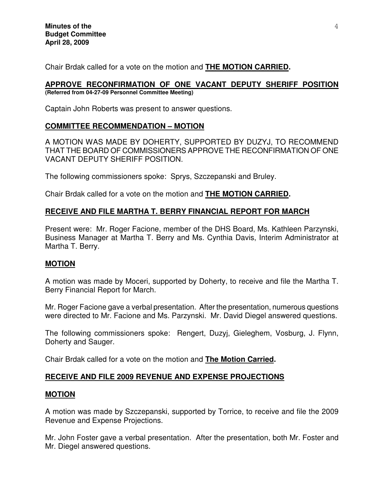Chair Brdak called for a vote on the motion and **THE MOTION CARRIED.** 

#### **APPROVE RECONFIRMATION OF ONE VACANT DEPUTY SHERIFF POSITION (Referred from 04-27-09 Personnel Committee Meeting)**

Captain John Roberts was present to answer questions.

# **COMMITTEE RECOMMENDATION – MOTION**

A MOTION WAS MADE BY DOHERTY, SUPPORTED BY DUZYJ, TO RECOMMEND THAT THE BOARD OF COMMISSIONERS APPROVE THE RECONFIRMATION OF ONE VACANT DEPUTY SHERIFF POSITION.

The following commissioners spoke: Sprys, Szczepanski and Bruley.

Chair Brdak called for a vote on the motion and **THE MOTION CARRIED.** 

# **RECEIVE AND FILE MARTHA T. BERRY FINANCIAL REPORT FOR MARCH**

Present were: Mr. Roger Facione, member of the DHS Board, Ms. Kathleen Parzynski, Business Manager at Martha T. Berry and Ms. Cynthia Davis, Interim Administrator at Martha T. Berry.

## **MOTION**

A motion was made by Moceri, supported by Doherty, to receive and file the Martha T. Berry Financial Report for March.

Mr. Roger Facione gave a verbal presentation. After the presentation, numerous questions were directed to Mr. Facione and Ms. Parzynski. Mr. David Diegel answered questions.

The following commissioners spoke: Rengert, Duzyj, Gieleghem, Vosburg, J. Flynn, Doherty and Sauger.

Chair Brdak called for a vote on the motion and **The Motion Carried.** 

# **RECEIVE AND FILE 2009 REVENUE AND EXPENSE PROJECTIONS**

## **MOTION**

A motion was made by Szczepanski, supported by Torrice, to receive and file the 2009 Revenue and Expense Projections.

Mr. John Foster gave a verbal presentation. After the presentation, both Mr. Foster and Mr. Diegel answered questions.